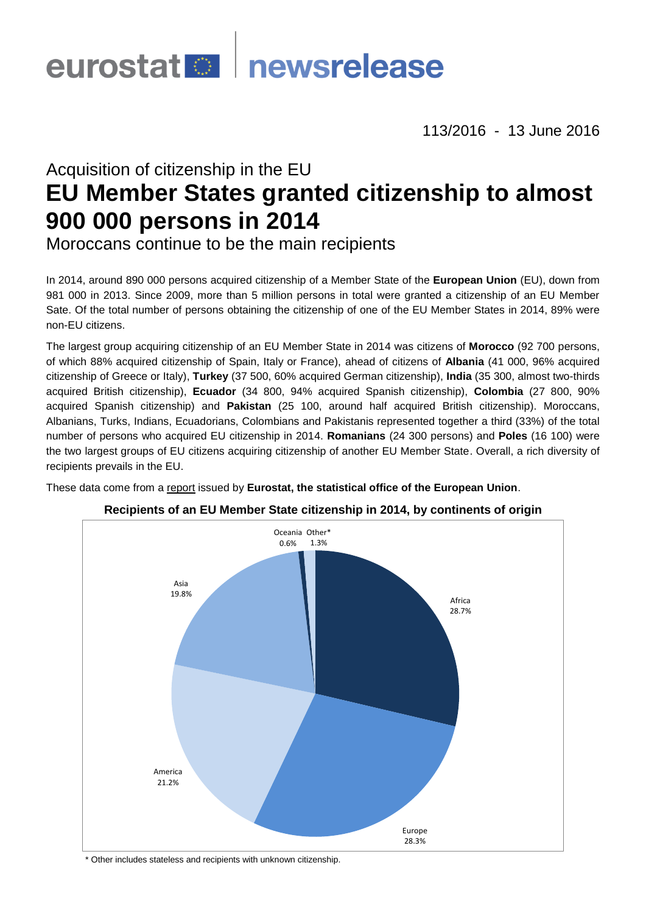

113/2016 - 13 June 2016

# Acquisition of citizenship in the EU **EU Member States granted citizenship to almost 900 000 persons in 2014**

Moroccans continue to be the main recipients

In 2014, around 890 000 persons acquired citizenship of a Member State of the **European Union** (EU), down from 981 000 in 2013. Since 2009, more than 5 million persons in total were granted a citizenship of an EU Member Sate. Of the total number of persons obtaining the citizenship of one of the EU Member States in 2014, 89% were non-EU citizens.

The largest group acquiring citizenship of an EU Member State in 2014 was citizens of **Morocco** (92 700 persons, of which 88% acquired citizenship of Spain, Italy or France), ahead of citizens of **Albania** (41 000, 96% acquired citizenship of Greece or Italy), **Turkey** (37 500, 60% acquired German citizenship), **India** (35 300, almost two-thirds acquired British citizenship), **Ecuador** (34 800, 94% acquired Spanish citizenship), **Colombia** (27 800, 90% acquired Spanish citizenship) and **Pakistan** (25 100, around half acquired British citizenship). Moroccans, Albanians, Turks, Indians, Ecuadorians, Colombians and Pakistanis represented together a third (33%) of the total number of persons who acquired EU citizenship in 2014. **Romanians** (24 300 persons) and **Poles** (16 100) were the two largest groups of EU citizens acquiring citizenship of another EU Member State. Overall, a rich diversity of recipients prevails in the EU.

These data come from [a report](http://ec.europa.eu/eurostat/statistics-explained/index.php/Acquisition_of_citizenship_statistics) issued by **Eurostat, the statistical office of the European Union**.



## **Recipients of an EU Member State citizenship in 2014, by continents of origin**

\* Other includes stateless and recipients with unknown citizenship.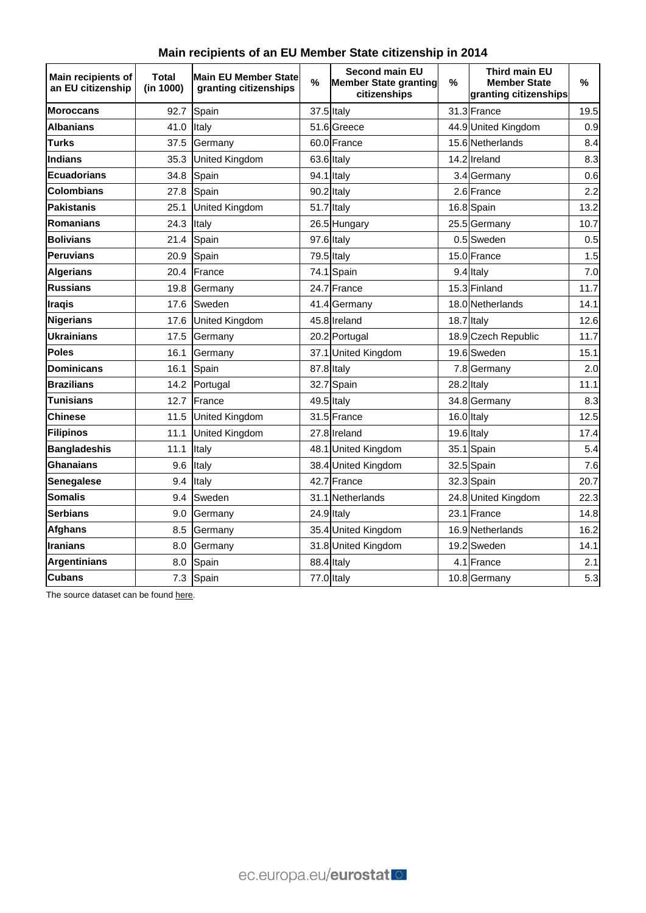|  | Main recipients of an EU Member State citizenship in 2014 |  |
|--|-----------------------------------------------------------|--|
|  |                                                           |  |

| Main recipients of<br>an EU citizenship | Total<br>(in 1000) | <b>Main EU Member State</b><br>granting citizenships | $\%$ | <b>Second main EU</b><br><b>Member State granting</b><br>citizenships | %          | <b>Third main EU</b><br><b>Member State</b><br>granting citizenships | %    |
|-----------------------------------------|--------------------|------------------------------------------------------|------|-----------------------------------------------------------------------|------------|----------------------------------------------------------------------|------|
| <b>Moroccans</b>                        | 92.7               | Spain                                                |      | 37.5 Italy                                                            |            | 31.3 France                                                          | 19.5 |
| <b>Albanians</b>                        | 41.0               | Italy                                                |      | 51.6 Greece                                                           |            | 44.9 United Kingdom                                                  | 0.9  |
| <b>Turks</b>                            | 37.5               | Germany                                              |      | 60.0 France                                                           |            | 15.6 Netherlands                                                     | 8.4  |
| <b>Indians</b>                          | 35.3               | United Kingdom                                       |      | 63.6 Italy                                                            |            | 14.2lIreland                                                         | 8.3  |
| <b>Ecuadorians</b>                      | 34.8               | Spain                                                |      | 94.1 Italy                                                            |            | 3.4 Germany                                                          | 0.6  |
| <b>Colombians</b>                       | 27.8               | Spain                                                |      | 90.2 Italy                                                            |            | 2.6 France                                                           | 2.2  |
| <b>Pakistanis</b>                       | 25.1               | <b>United Kingdom</b>                                |      | 51.7 Italy                                                            |            | 16.8 Spain                                                           | 13.2 |
| Romanians                               | 24.3               | Italy                                                |      | 26.5 Hungary                                                          |            | 25.5 Germany                                                         | 10.7 |
| <b>Bolivians</b>                        | 21.4               | Spain                                                |      | 97.6 Italy                                                            |            | 0.5 Sweden                                                           | 0.5  |
| <b>Peruvians</b>                        | 20.9               | Spain                                                |      | 79.5 Italy                                                            |            | 15.0 France                                                          | 1.5  |
| <b>Algerians</b>                        | 20.4               | France                                               |      | 74.1 Spain                                                            |            | 9.4 Italy                                                            | 7.0  |
| <b>Russians</b>                         | 19.8               | Germany                                              |      | 24.7 France                                                           |            | 15.3 Finland                                                         | 11.7 |
| <b>Iragis</b>                           | 17.6               | Sweden                                               |      | 41.4 Germany                                                          |            | 18.0 Netherlands                                                     | 14.1 |
| <b>Nigerians</b>                        | 17.6               | <b>United Kingdom</b>                                |      | 45.8 Ireland                                                          |            | 18.7 Italy                                                           | 12.6 |
| Ukrainians                              | 17.5               | Germany                                              |      | 20.2 Portugal                                                         |            | 18.9 Czech Republic                                                  | 11.7 |
| <b>Poles</b>                            | 16.1               | Germany                                              |      | 37.1 United Kingdom                                                   |            | 19.6 Sweden                                                          | 15.1 |
| <b>Dominicans</b>                       | 16.1               | Spain                                                |      | 87.8 Italy                                                            |            | 7.8 Germany                                                          | 2.0  |
| <b>Brazilians</b>                       | 14.2               | Portugal                                             |      | 32.7 Spain                                                            | 28.2 Italy |                                                                      | 11.1 |
| Tunisians                               | 12.7               | France                                               |      | 49.5 Italy                                                            |            | 34.8 Germany                                                         | 8.3  |
| <b>Chinese</b>                          | 11.5               | United Kingdom                                       |      | 31.5 France                                                           |            | 16.0 Italy                                                           | 12.5 |
| <b>Filipinos</b>                        | 11.1               | <b>United Kingdom</b>                                |      | 27.8 Ireland                                                          |            | 19.6 Italy                                                           | 17.4 |
| <b>Bangladeshis</b>                     | 11.1               | Italy                                                |      | 48.1 United Kingdom                                                   |            | 35.1 Spain                                                           | 5.4  |
| Ghanaians                               | 9.6                | Italy                                                |      | 38.4 United Kingdom                                                   |            | 32.5 Spain                                                           | 7.6  |
| <b>Senegalese</b>                       | 9.4                | Italy                                                |      | 42.7 France                                                           |            | 32.3 Spain                                                           | 20.7 |
| <b>Somalis</b>                          | 9.4                | Sweden                                               |      | 31.1 Netherlands                                                      |            | 24.8 United Kingdom                                                  | 22.3 |
| <b>Serbians</b>                         | 9.0                | Germany                                              |      | 24.9 Italy                                                            |            | 23.1 France                                                          | 14.8 |
| <b>Afghans</b>                          | 8.5                | Germany                                              |      | 35.4 United Kingdom                                                   |            | 16.9 Netherlands                                                     | 16.2 |
| <b>Iranians</b>                         | 8.0                | Germany                                              |      | 31.8 United Kingdom                                                   |            | 19.2 Sweden                                                          | 14.1 |
| <b>Argentinians</b>                     | 8.0                | Spain                                                |      | 88.4 Italy                                                            |            | 4.1 France                                                           | 2.1  |
| <b>Cubans</b>                           | 7.3                | Spain                                                |      | 77.0 Italy                                                            |            | 10.8 Germany                                                         | 5.3  |

The source dataset can be foun[d here.](http://appsso.eurostat.ec.europa.eu/nui/show.do?query=BOOKMARK_DS-075898_QID_D79FE65_UID_-3F171EB0&layout=GEO,L,X,0;CITIZEN,L,Y,0;TIME,C,Z,0;AGEDEF,L,Z,1;AGE,L,Z,2;UNIT,L,Z,3;SEX,L,Z,4;INDICATORS,C,Z,5;&zSelection=DS-075898UNIT,NR;DS-075898TIME,2014;DS-075898INDICATORS,OBS_FLAG;DS-075898AGE,TOTAL;DS-075898AGEDEF,REACH;DS-075898SEX,T;&rankName1=UNIT_1_2_-1_2&rankName2=AGE_1_2_-1_2&rankName3=INDICATORS_1_2_-1_2&rankName4=SEX_1_2_-1_2&rankName5=AGEDEF_1_2_-1_2&rankName6=TIME_1_0_0_1&rankName7=GEO_1_2_0_0&rankName8=CITIZEN_1_2_0_1&rStp=&cStp=&rDCh=&cDCh=&rDM=true&cDM=true&footnes=false&empty=false&wai=false&time_mode=ROLLING&time_most_recent=true&lang=EN&cfo=%23%23%23%2C%23%23%23.%23%23%23)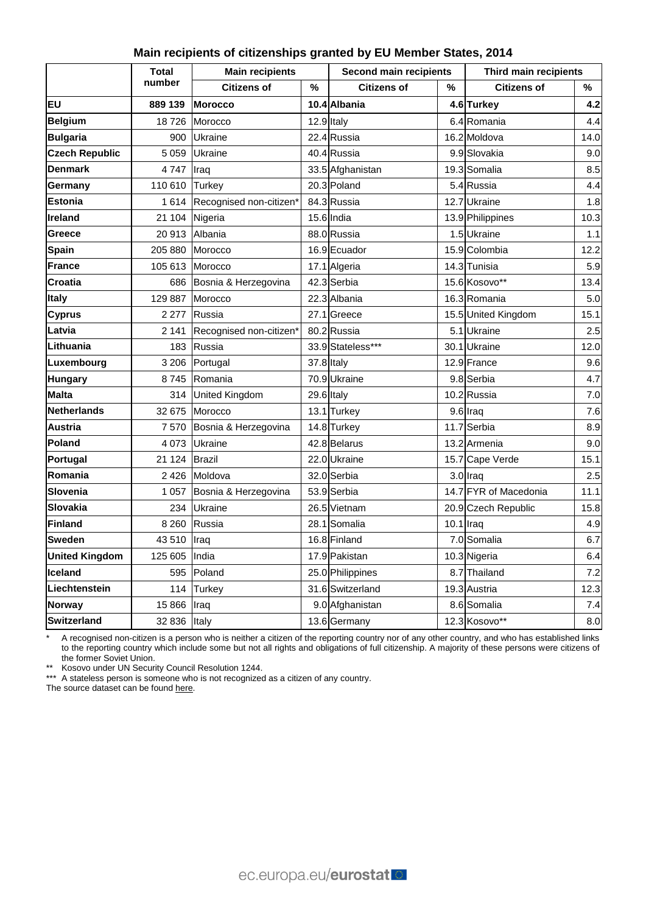#### **Main recipients of citizenships granted by EU Member States, 2014**

|                       | <b>Total</b> | <b>Main recipients</b>  |   | <b>Second main recipients</b> |              | Third main recipients |       |
|-----------------------|--------------|-------------------------|---|-------------------------------|--------------|-----------------------|-------|
|                       | number       | <b>Citizens of</b>      | % | <b>Citizens of</b>            | %            | <b>Citizens of</b>    | %     |
| <b>EU</b>             | 889 139      | <b>Morocco</b>          |   | 10.4 Albania                  |              | 4.6 Turkey            | 4.2   |
| <b>Belgium</b>        | 18726        | Morocco                 |   | 12.9 Italy                    |              | 6.4 Romania           | 4.4   |
| <b>Bulgaria</b>       | 900          | <b>Ukraine</b>          |   | 22.4 Russia                   |              | 16.2 Moldova          | 14.0  |
| <b>Czech Republic</b> | 5 0 5 9      | Ukraine                 |   | 40.4 Russia                   |              | 9.9 Slovakia          | 9.0   |
| <b>Denmark</b>        | 4747         | Iraq                    |   | 33.5 Afghanistan              |              | 19.3 Somalia          | 8.5   |
| Germany               | 110 610      | <b>Turkey</b>           |   | 20.3 Poland                   |              | 5.4 Russia            | 4.4   |
| <b>Estonia</b>        | 1614         | Recognised non-citizen* |   | 84.3 Russia                   |              | 12.7 Ukraine          | 1.8   |
| <b>Ireland</b>        | 21 104       | Nigeria                 |   | 15.6 India                    |              | 13.9 Philippines      | 10.3  |
| Greece                | 20 913       | Albania                 |   | 88.0 Russia                   |              | 1.5 Ukraine           | 1.1   |
| <b>Spain</b>          | 205 880      | Morocco                 |   | 16.9 Ecuador                  |              | 15.9 Colombia         | 12.2  |
| <b>France</b>         | 105 613      | Morocco                 |   | 17.1 Algeria                  |              | 14.3 Tunisia          | 5.9   |
| Croatia               | 686          | Bosnia & Herzegovina    |   | 42.3 Serbia                   |              | 15.6 Kosovo**         | 13.4  |
| <b>Italy</b>          | 129 887      | Morocco                 |   | 22.3 Albania                  |              | 16.3 Romania          | 5.0   |
| <b>Cyprus</b>         | 2 2 7 7      | Russia                  |   | 27.1 Greece                   |              | 15.5 United Kingdom   | 15.1  |
| Latvia                | 2 141        | Recognised non-citizen* |   | 80.2 Russia                   |              | 5.1 Ukraine           | 2.5   |
| <b>Lithuania</b>      | 183          | Russia                  |   | 33.9 Stateless***             |              | 30.1 Ukraine          | 12.0  |
| Luxembourg            | 3 2 0 6      | Portugal                |   | 37.8 Italy                    |              | 12.9 France           | 9.6   |
| <b>Hungary</b>        | 8745         | Romania                 |   | 70.9 Ukraine                  |              | 9.8 Serbia            | 4.7   |
| <b>Malta</b>          | 314          | <b>United Kingdom</b>   |   | 29.6 Italy                    |              | 10.2 Russia           | 7.0   |
| <b>Netherlands</b>    | 32 675       | Morocco                 |   | 13.1 Turkey                   |              | 9.6 Iraq              | 7.6   |
| <b>Austria</b>        | 7570         | Bosnia & Herzegovina    |   | 14.8 Turkey                   |              | 11.7 Serbia           | 8.9   |
| Poland                | 4 0 7 3      | <b>Ukraine</b>          |   | 42.8 Belarus                  |              | 13.2 Armenia          | 9.0   |
| Portugal              | 21 124       | <b>Brazil</b>           |   | 22.0 Ukraine                  |              | 15.7 Cape Verde       | 15.1  |
| Romania               | 2 4 2 6      | Moldova                 |   | 32.0 Serbia                   |              | 3.0 Iraq              | 2.5   |
| <b>Slovenia</b>       | 1 0 5 7      | Bosnia & Herzegovina    |   | 53.9 Serbia                   |              | 14.7 FYR of Macedonia | 11.1  |
| <b>Slovakia</b>       | 234          | Ukraine                 |   | 26.5 Vietnam                  |              | 20.9 Czech Republic   | 15.8  |
| <b>Finland</b>        | 8 2 6 0      | Russia                  |   | 28.1 Somalia                  | $10.1$  Iraq |                       | 4.9   |
| <b>Sweden</b>         | 43 510       | Iraq                    |   | 16.8 Finland                  |              | 7.0 Somalia           | 6.7   |
| <b>United Kingdom</b> | 125 605      | India                   |   | 17.9 Pakistan                 |              | 10.3 Nigeria          | 6.4   |
| <b>Iceland</b>        | 595          | Poland                  |   | 25.0 Philippines              |              | 8.7 Thailand          | 7.2   |
| Liechtenstein         | 114          | <b>Turkey</b>           |   | 31.6 Switzerland              |              | 19.3 Austria          | 12.3  |
| Norway                | 15 866       | Iraq                    |   | 9.0 Afghanistan               |              | 8.6 Somalia           | $7.4$ |
| <b>Switzerland</b>    | 32 836       | Italy                   |   | 13.6 Germany                  |              | 12.3 Kosovo**         | 8.0   |

\* A recognised non-citizen is a person who is neither a citizen of the reporting country nor of any other country, and who has established links to the reporting country which include some but not all rights and obligations of full citizenship. A majority of these persons were citizens of the former Soviet Union.

\*\* Kosovo under UN Security Council Resolution 1244.

\*\*\* A stateless person is someone who is not recognized as a citizen of any country.

The source dataset can be foun[d here.](http://appsso.eurostat.ec.europa.eu/nui/show.do?query=BOOKMARK_DS-075898_QID_650D3A5C_UID_-3F171EB0&layout=GEO,L,X,0;CITIZEN,L,Y,0;TIME,C,Z,0;AGEDEF,L,Z,1;AGE,L,Z,2;UNIT,L,Z,3;SEX,L,Z,4;INDICATORS,C,Z,5;&zSelection=DS-075898UNIT,NR;DS-075898TIME,2014;DS-075898INDICATORS,OBS_FLAG;DS-075898AGE,TOTAL;DS-075898AGEDEF,REACH;DS-075898SEX,T;&rankName1=TIME_1_0_-1_2&rankName2=UNIT_1_2_-1_2&rankName3=AGE_1_2_-1_2&rankName4=INDICATORS_1_2_-1_2&rankName5=SEX_1_2_-1_2&rankName6=AGEDEF_1_2_-1_2&rankName7=GEO_1_2_0_0&rankName8=CITIZEN_1_2_0_1&rStp=&cStp=&rDCh=&cDCh=&rDM=true&cDM=true&footnes=false&empty=false&wai=false&time_mode=ROLLING&time_most_recent=true&lang=EN&cfo=%23%23%23%2C%23%23%23.%23%23%23)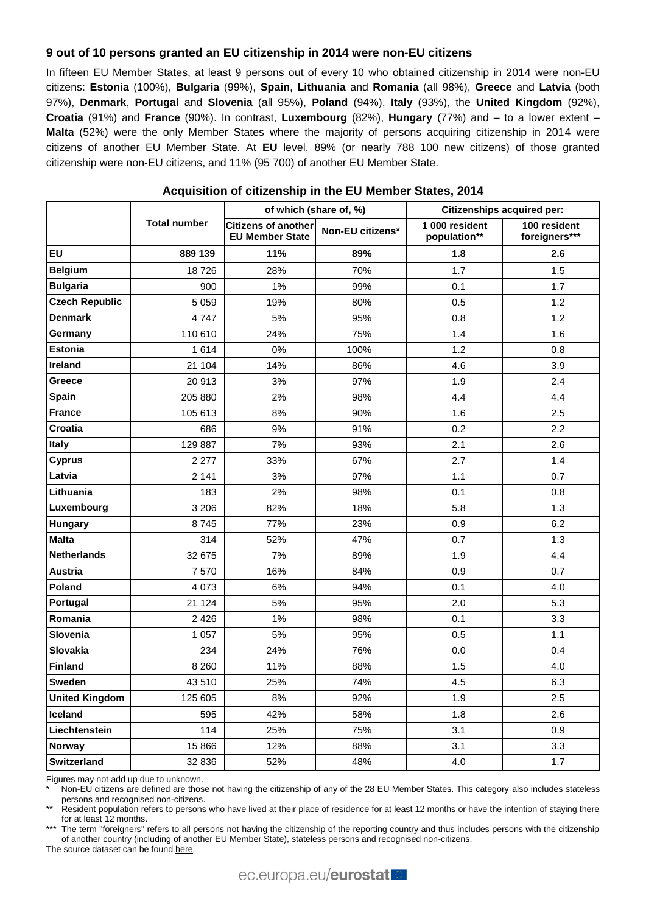### **9 out of 10 persons granted an EU citizenship in 2014 were non-EU citizens**

In fifteen EU Member States, at least 9 persons out of every 10 who obtained citizenship in 2014 were non-EU citizens: **Estonia** (100%), **Bulgaria** (99%), **Spain**, **Lithuania** and **Romania** (all 98%), **Greece** and **Latvia** (both 97%), **Denmark**, **Portugal** and **Slovenia** (all 95%), **Poland** (94%), **Italy** (93%), the **United Kingdom** (92%), **Croatia** (91%) and **France** (90%). In contrast, **Luxembourg** (82%), **Hungary** (77%) and – to a lower extent – **Malta** (52%) were the only Member States where the majority of persons acquiring citizenship in 2014 were citizens of another EU Member State. At **EU** level, 89% (or nearly 788 100 new citizens) of those granted citizenship were non-EU citizens, and 11% (95 700) of another EU Member State.

|                       |                     | of which (share of, %)                               |                  | <b>Citizenships acquired per:</b> |                               |  |
|-----------------------|---------------------|------------------------------------------------------|------------------|-----------------------------------|-------------------------------|--|
|                       | <b>Total number</b> | <b>Citizens of another</b><br><b>EU Member State</b> | Non-EU citizens* | 1 000 resident<br>population**    | 100 resident<br>foreigners*** |  |
| <b>EU</b>             | 889 139             | 11%                                                  | 89%              | 1.8                               | 2.6                           |  |
| <b>Belgium</b>        | 18726               | 28%                                                  | 70%              | 1.7                               | 1.5                           |  |
| <b>Bulgaria</b>       | 900                 | $1\%$                                                | 99%              | 0.1                               | 1.7                           |  |
| <b>Czech Republic</b> | 5 0 5 9             | 19%                                                  | 80%              | 0.5                               | 1.2                           |  |
| <b>Denmark</b>        | 4747                | $5%$                                                 | 95%              | 0.8                               | 1.2                           |  |
| Germany               | 110 610             | 24%                                                  | 75%              | 1.4                               | 1.6                           |  |
| <b>Estonia</b>        | 1614                | 0%                                                   | 100%             | 1.2                               | 0.8                           |  |
| Ireland               | 21 104              | 14%                                                  | 86%              | 4.6                               | 3.9                           |  |
| Greece                | 20 913              | 3%                                                   | 97%              | 1.9                               | 2.4                           |  |
| Spain                 | 205 880             | 2%                                                   | 98%              | 4.4                               | 4.4                           |  |
| <b>France</b>         | 105 613             | 8%                                                   | 90%              | 1.6                               | 2.5                           |  |
| Croatia               | 686                 | 9%                                                   | 91%              | 0.2                               | 2.2                           |  |
| <b>Italy</b>          | 129 887             | 7%                                                   | 93%              | 2.1                               | 2.6                           |  |
| <b>Cyprus</b>         | 2 2 7 7             | 33%                                                  | 67%              | 2.7                               | 1.4                           |  |
| Latvia                | 2 1 4 1             | 3%                                                   | 97%              | 1.1                               | 0.7                           |  |
| Lithuania             | 183                 | 2%                                                   | 98%              | 0.1                               | 0.8                           |  |
| Luxembourg            | 3 2 0 6             | 82%                                                  | 18%              | 5.8                               | 1.3                           |  |
| Hungary               | 8745                | 77%                                                  | 23%              | 0.9                               | 6.2                           |  |
| <b>Malta</b>          | 314                 | 52%                                                  | 47%              | 0.7                               | 1.3                           |  |
| <b>Netherlands</b>    | 32 675              | 7%                                                   | 89%              | 1.9                               | 4.4                           |  |
| <b>Austria</b>        | 7570                | 16%                                                  | 84%              | 0.9                               | 0.7                           |  |
| Poland                | 4 0 7 3             | 6%                                                   | 94%              | 0.1                               | 4.0                           |  |
| Portugal              | 21 1 24             | 5%                                                   | 95%              | 2.0                               | 5.3                           |  |
| Romania               | 2 4 2 6             | 1%                                                   | 98%              | 0.1                               | 3.3                           |  |
| Slovenia              | 1 0 5 7             | 5%                                                   | 95%              | 0.5                               | 1.1                           |  |
| Slovakia              | 234                 | 24%                                                  | 76%              | 0.0                               | 0.4                           |  |
| <b>Finland</b>        | 8 2 6 0             | 11%                                                  | 88%              | 1.5                               | 4.0                           |  |
| <b>Sweden</b>         | 43 510              | 25%                                                  | 74%              | 4.5                               | 6.3                           |  |
| <b>United Kingdom</b> | 125 605             | 8%                                                   | 92%              | 1.9                               | 2.5                           |  |
| Iceland               | 595                 | 42%                                                  | 58%              | 1.8                               | 2.6                           |  |
| Liechtenstein         | 114                 | 25%                                                  | 75%              | 3.1                               | 0.9                           |  |
| <b>Norway</b>         | 15 866              | 12%                                                  | 88%              | 3.1                               | 3.3                           |  |
| Switzerland           | 32 836              | 52%                                                  | 48%              | 4.0                               | 1.7                           |  |

#### **Acquisition of citizenship in the EU Member States, 2014**

Figures may not add up due to unknown.

Non-EU citizens are defined are those not having the citizenship of any of the 28 EU Member States. This category also includes stateless persons and recognised non-citizens.

Resident population refers to persons who have lived at their place of residence for at least 12 months or have the intention of staying there for at least 12 months.

The term "foreigners" refers to all persons not having the citizenship of the reporting country and thus includes persons with the citizenship of another country (including of another EU Member State), stateless persons and recognised non-citizens.

The source dataset can be foun[d here.](http://appsso.eurostat.ec.europa.eu/nui/show.do?query=BOOKMARK_DS-075898_QID_-1CBA4F04_UID_-3F171EB0&layout=CITIZEN,L,X,0;GEO,L,Y,0;TIME,C,Z,0;AGEDEF,L,Z,1;AGE,L,Z,2;UNIT,L,Z,3;SEX,L,Z,4;INDICATORS,C,Z,5;&zSelection=DS-075898UNIT,NR;DS-075898TIME,2014;DS-075898INDICATORS,OBS_FLAG;DS-075898AGE,TOTAL;DS-075898AGEDEF,REACH;DS-075898SEX,T;&rankName1=TIME_1_0_-1_2&rankName2=UNIT_1_2_-1_2&rankName3=AGE_1_2_-1_2&rankName4=INDICATORS_1_2_-1_2&rankName5=SEX_1_2_-1_2&rankName6=AGEDEF_1_2_-1_2&rankName7=CITIZEN_1_2_0_0&rankName8=GEO_1_2_0_1&rStp=&cStp=&rDCh=&cDCh=&rDM=true&cDM=true&footnes=false&empty=false&wai=false&time_mode=ROLLING&time_most_recent=true&lang=EN&cfo=%23%23%23%2C%23%23%23.%23%23%23)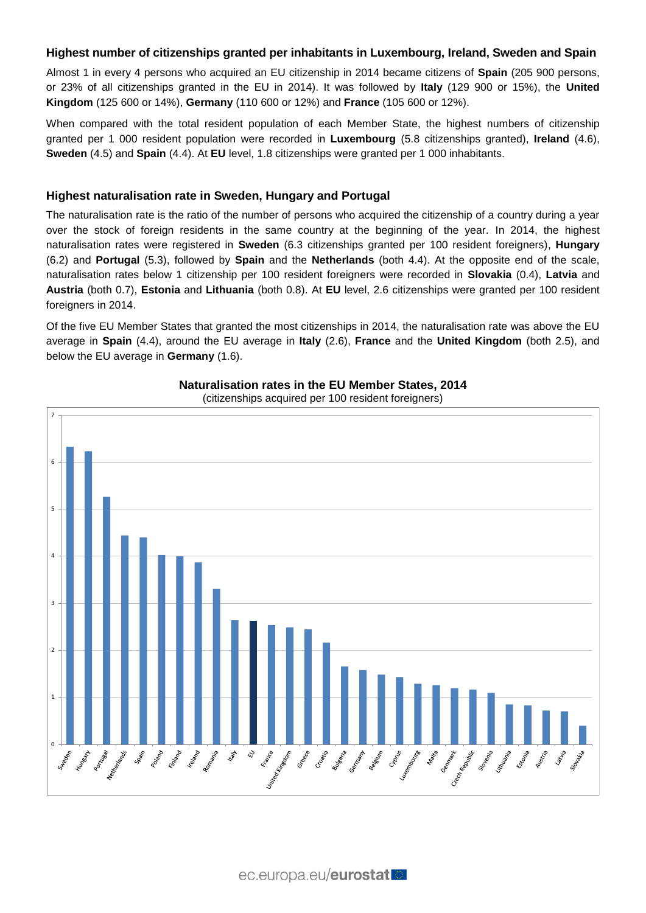## **Highest number of citizenships granted per inhabitants in Luxembourg, Ireland, Sweden and Spain**

Almost 1 in every 4 persons who acquired an EU citizenship in 2014 became citizens of **Spain** (205 900 persons, or 23% of all citizenships granted in the EU in 2014). It was followed by **Italy** (129 900 or 15%), the **United Kingdom** (125 600 or 14%), **Germany** (110 600 or 12%) and **France** (105 600 or 12%).

When compared with the total resident population of each Member State, the highest numbers of citizenship granted per 1 000 resident population were recorded in **Luxembourg** (5.8 citizenships granted), **Ireland** (4.6), **Sweden** (4.5) and **Spain** (4.4). At **EU** level, 1.8 citizenships were granted per 1 000 inhabitants.

#### **Highest naturalisation rate in Sweden, Hungary and Portugal**

The naturalisation rate is the ratio of the number of persons who acquired the citizenship of a country during a year over the stock of foreign residents in the same country at the beginning of the year. In 2014, the highest naturalisation rates were registered in **Sweden** (6.3 citizenships granted per 100 resident foreigners), **Hungary** (6.2) and **Portugal** (5.3), followed by **Spain** and the **Netherlands** (both 4.4). At the opposite end of the scale, naturalisation rates below 1 citizenship per 100 resident foreigners were recorded in **Slovakia** (0.4), **Latvia** and **Austria** (both 0.7), **Estonia** and **Lithuania** (both 0.8). At **EU** level, 2.6 citizenships were granted per 100 resident foreigners in 2014.

Of the five EU Member States that granted the most citizenships in 2014, the naturalisation rate was above the EU average in **Spain** (4.4), around the EU average in **Italy** (2.6), **France** and the **United Kingdom** (both 2.5), and below the EU average in **Germany** (1.6).



## **Naturalisation rates in the EU Member States, 2014**

(citizenships acquired per 100 resident foreigners)